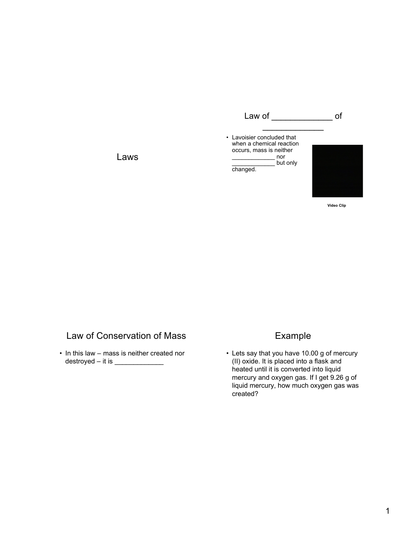

**Video Clip**

# Law of Conservation of Mass

Laws

• In this law – mass is neither created nor destroyed – it is  $\frac{1}{2}$ 

## Example

• Lets say that you have 10.00 g of mercury (II) oxide. It is placed into a flask and heated until it is converted into liquid mercury and oxygen gas. If I get 9.26 g of liquid mercury, how much oxygen gas was created?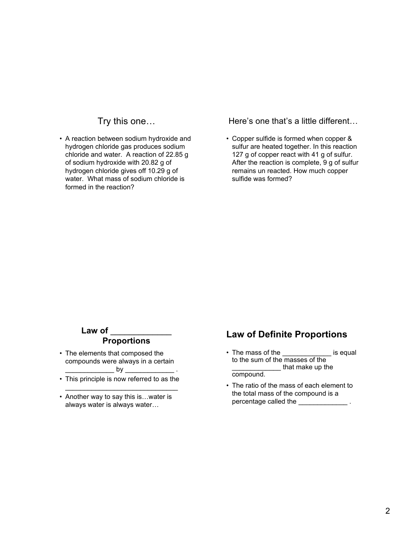# Try this one…

• A reaction between sodium hydroxide and hydrogen chloride gas produces sodium chloride and water. A reaction of 22.85 g of sodium hydroxide with 20.82 g of hydrogen chloride gives off 10.29 g of water. What mass of sodium chloride is formed in the reaction?

#### Here's one that's a little different…

• Copper sulfide is formed when copper & sulfur are heated together. In this reaction 127 g of copper react with 41 g of sulfur. After the reaction is complete, 9 g of sulfur remains un reacted. How much copper sulfide was formed?

#### **Law of** \_\_\_\_\_\_\_\_\_\_\_\_\_ **Proportions**

- The elements that composed the compounds were always in a certain  $\Box$  by  $\Box$
- This principle is now referred to as the  $\mathcal{L}_\text{max}$  , and the set of the set of the set of the set of the set of the set of the set of the set of the set of the set of the set of the set of the set of the set of the set of the set of the set of the set of the
- Another way to say this is…water is always water is always water…

# **Law of Definite Proportions**

- The mass of the \_\_\_\_\_\_\_\_\_\_\_\_\_ is equal to the sum of the masses of the \_\_\_\_\_\_\_\_\_\_\_\_\_ that make up the compound.
- The ratio of the mass of each element to the total mass of the compound is a percentage called the \_\_\_\_\_\_\_\_\_\_\_\_\_\_\_\_\_.